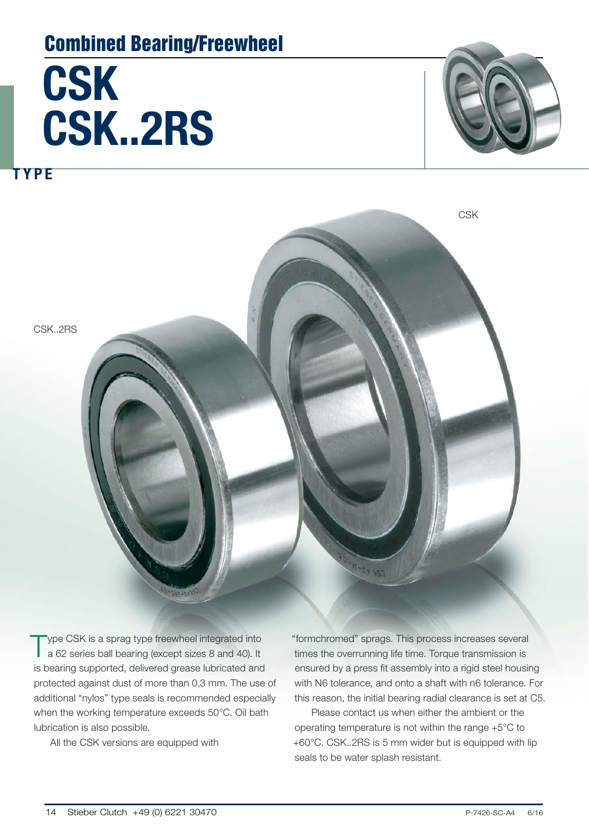### Combined Bearing/Freewheel

# **CSK** CSK..2RS

TYPE



CSK..2RS **CSK** 

Type CSK is a sprag type freewheel integrated into a 62 series ball bearing (except sizes 8 and 40). It is bearing supported, delivered grease lubricated and protected against dust of more than 0,3 mm. The use of additional "nylos" type seals is recommended especially when the working temperature exceeds 50°C. Oil bath lubrication is also possible.

All the CSK versions are equipped with

"formchromed" sprags. This process increases several times the overrunning life time. Torque transmission is ensured by a press fit assembly into a rigid steel housing with N6 tolerance, and onto a shaft with n6 tolerance. For this reason, the initial bearing radial clearance is set at C5.

Please contact us when either the ambient or the operating temperature is not within the range +5°C to +60°C. CSK..2RS is 5 mm wider but is equipped with lip seals to be water splash resistant.